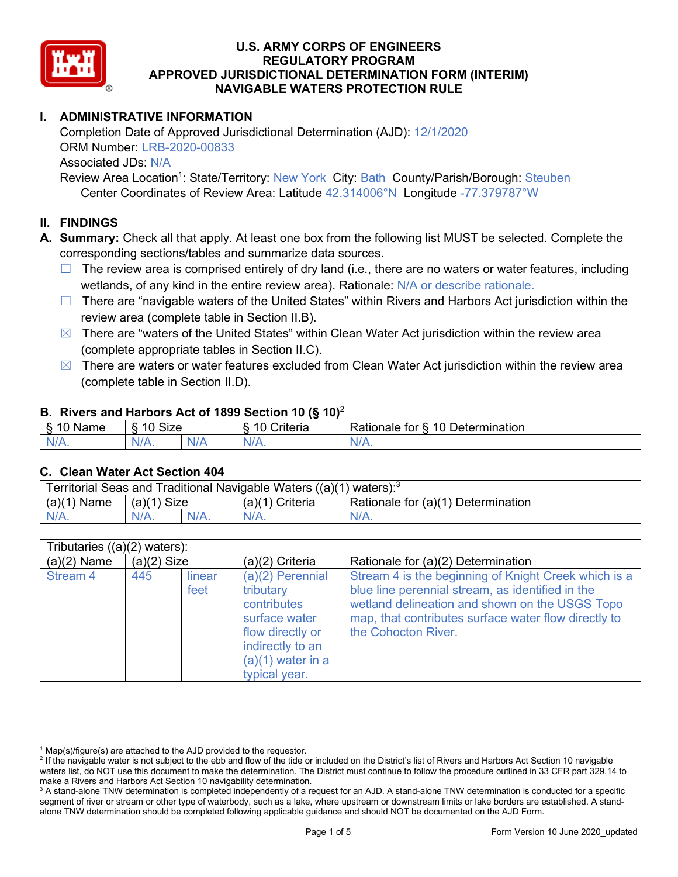

# **I. ADMINISTRATIVE INFORMATION**

Completion Date of Approved Jurisdictional Determination (AJD): 12/1/2020 ORM Number: LRB-2020-00833 Associated JDs: N/A Review Area Location<sup>1</sup>: State/Territory: New York City: Bath County/Parish/Borough: Steuben

Center Coordinates of Review Area: Latitude 42.314006°N Longitude -77.379787°W

## **II. FINDINGS**

**A. Summary:** Check all that apply. At least one box from the following list MUST be selected. Complete the corresponding sections/tables and summarize data sources.

- $\Box$  The review area is comprised entirely of dry land (i.e., there are no waters or water features, including wetlands, of any kind in the entire review area). Rationale: N/A or describe rationale.
- $\Box$  There are "navigable waters of the United States" within Rivers and Harbors Act jurisdiction within the review area (complete table in Section II.B).
- $\boxtimes$  There are "waters of the United States" within Clean Water Act jurisdiction within the review area (complete appropriate tables in Section II.C).
- $\boxtimes$  There are waters or water features excluded from Clean Water Act jurisdiction within the review area (complete table in Section II.D).

#### **B. Rivers and Harbors Act of 1899 Section 10 (§ 10)**<sup>2</sup>

| $\cdot$                                |                   |     |                          |                                                         |  |  |  |
|----------------------------------------|-------------------|-----|--------------------------|---------------------------------------------------------|--|--|--|
| $\sim$<br>100 <sup>2</sup><br>ame<br>v | <b>Size</b><br>10 |     | .<br>10<br>-<br>∶riteria | ∽<br>-<br>$\Delta$<br>Rationale<br>Jetermination<br>tor |  |  |  |
| $N/A$ .                                | $N/A$ .           | N/r | $N/A$ .                  | 'NL<br>$\mathbf{v}$                                     |  |  |  |

#### **C. Clean Water Act Section 404**

| Territorial Seas and Traditional Navigable Waters $((a)(1)$ waters): <sup>3</sup> |                |  |                 |                                    |  |  |
|-----------------------------------------------------------------------------------|----------------|--|-----------------|------------------------------------|--|--|
| (a)(1)<br>Name                                                                    | Size<br>(a)(1) |  | (a)(1) Criteria | Rationale for (a)(1) Determination |  |  |
|                                                                                   | $N/A$ .        |  | $N/A$ .         | $N/A$ .                            |  |  |

| Tributaries $((a)(2)$ waters): |               |                |                                                                                                                                                 |                                                                                                                                                                                                                                           |  |  |
|--------------------------------|---------------|----------------|-------------------------------------------------------------------------------------------------------------------------------------------------|-------------------------------------------------------------------------------------------------------------------------------------------------------------------------------------------------------------------------------------------|--|--|
| $(a)(2)$ Name                  | $(a)(2)$ Size |                | $(a)(2)$ Criteria                                                                                                                               | Rationale for (a)(2) Determination                                                                                                                                                                                                        |  |  |
| <b>Stream 4</b>                | 445           | linear<br>feet | $(a)(2)$ Perennial<br>tributary<br>contributes<br>surface water<br>flow directly or<br>indirectly to an<br>$(a)(1)$ water in a<br>typical year. | Stream 4 is the beginning of Knight Creek which is a<br>blue line perennial stream, as identified in the<br>wetland delineation and shown on the USGS Topo<br>map, that contributes surface water flow directly to<br>the Cohocton River. |  |  |

 $1$  Map(s)/figure(s) are attached to the AJD provided to the requestor.

<sup>&</sup>lt;sup>2</sup> If the navigable water is not subject to the ebb and flow of the tide or included on the District's list of Rivers and Harbors Act Section 10 navigable waters list, do NOT use this document to make the determination. The District must continue to follow the procedure outlined in 33 CFR part 329.14 to make a Rivers and Harbors Act Section 10 navigability determination.

<sup>&</sup>lt;sup>3</sup> A stand-alone TNW determination is completed independently of a request for an AJD. A stand-alone TNW determination is conducted for a specific segment of river or stream or other type of waterbody, such as a lake, where upstream or downstream limits or lake borders are established. A standalone TNW determination should be completed following applicable guidance and should NOT be documented on the AJD Form.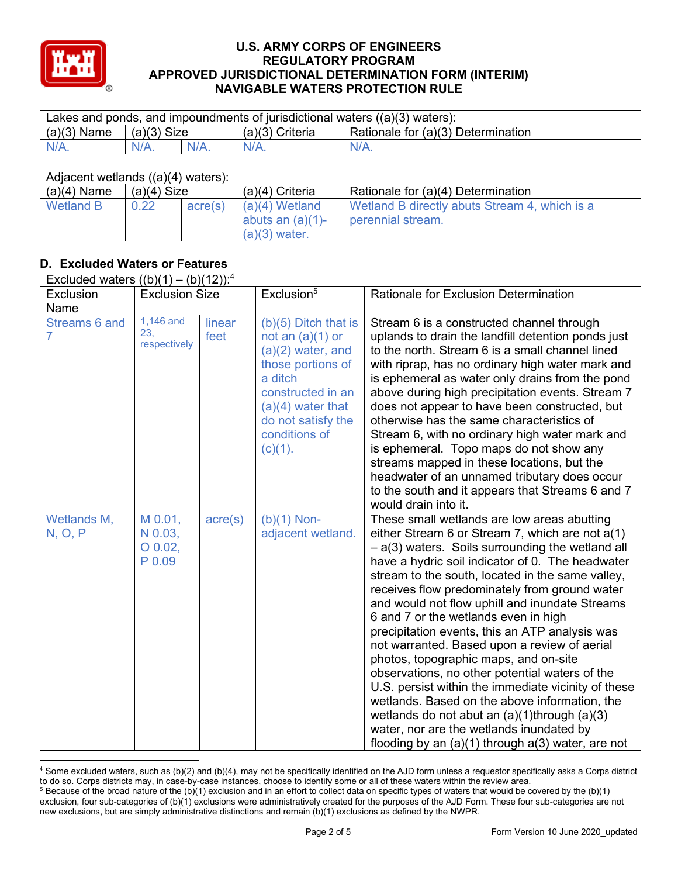

| Lakes and ponds, and impoundments of jurisdictional waters $((a)(3)$ waters): |               |         |                   |                                    |  |  |
|-------------------------------------------------------------------------------|---------------|---------|-------------------|------------------------------------|--|--|
| $(a)(3)$ Name                                                                 | $(a)(3)$ Size |         | $(a)(3)$ Criteria | Rationale for (a)(3) Determination |  |  |
| $N/A$ .                                                                       | $N/A$ .       | $N/A$ . | $N/A$ .           | $N/A$ .                            |  |  |

| Adjacent wetlands $((a)(4)$ waters): |               |         |                                                            |                                                                    |  |  |  |
|--------------------------------------|---------------|---------|------------------------------------------------------------|--------------------------------------------------------------------|--|--|--|
| $(a)(4)$ Name                        | $(a)(4)$ Size |         | $(a)(4)$ Criteria                                          | Rationale for (a)(4) Determination                                 |  |  |  |
| <b>Wetland B</b>                     | 0.22          | acre(s) | $(a)(4)$ Wetland<br>abuts an $(a)(1)$ -<br>$(a)(3)$ water. | Wetland B directly abuts Stream 4, which is a<br>perennial stream. |  |  |  |

# **D. Excluded Waters or Features**

| Excluded waters $((b)(1) - (b)(12))$ : <sup>4</sup> |                                           |                  |                                                                                                                                                                                                      |                                                                                                                                                                                                                                                                                                                                                                                                                                                                                                                                                                                                                                                                                                                                                                                                                                                                          |  |  |
|-----------------------------------------------------|-------------------------------------------|------------------|------------------------------------------------------------------------------------------------------------------------------------------------------------------------------------------------------|--------------------------------------------------------------------------------------------------------------------------------------------------------------------------------------------------------------------------------------------------------------------------------------------------------------------------------------------------------------------------------------------------------------------------------------------------------------------------------------------------------------------------------------------------------------------------------------------------------------------------------------------------------------------------------------------------------------------------------------------------------------------------------------------------------------------------------------------------------------------------|--|--|
| Exclusion                                           | <b>Exclusion Size</b>                     |                  | Exclusion <sup>5</sup>                                                                                                                                                                               | <b>Rationale for Exclusion Determination</b>                                                                                                                                                                                                                                                                                                                                                                                                                                                                                                                                                                                                                                                                                                                                                                                                                             |  |  |
| Name                                                |                                           |                  |                                                                                                                                                                                                      |                                                                                                                                                                                                                                                                                                                                                                                                                                                                                                                                                                                                                                                                                                                                                                                                                                                                          |  |  |
| Streams 6 and<br>$\overline{7}$                     | $1,146$ and<br>23.<br>respectively        | linear<br>feet   | $(b)(5)$ Ditch that is<br>not an $(a)(1)$ or<br>$(a)(2)$ water, and<br>those portions of<br>a ditch<br>constructed in an<br>$(a)(4)$ water that<br>do not satisfy the<br>conditions of<br>$(c)(1)$ . | Stream 6 is a constructed channel through<br>uplands to drain the landfill detention ponds just<br>to the north. Stream 6 is a small channel lined<br>with riprap, has no ordinary high water mark and<br>is ephemeral as water only drains from the pond<br>above during high precipitation events. Stream 7<br>does not appear to have been constructed, but<br>otherwise has the same characteristics of<br>Stream 6, with no ordinary high water mark and<br>is ephemeral. Topo maps do not show any<br>streams mapped in these locations, but the<br>headwater of an unnamed tributary does occur<br>to the south and it appears that Streams 6 and 7<br>would drain into it.                                                                                                                                                                                       |  |  |
| Wetlands M,<br>N, O, P                              | M 0.01,<br>N 0.03,<br>$O$ 0.02,<br>P 0.09 | $\text{acre}(s)$ | $(b)(1)$ Non-<br>adjacent wetland.                                                                                                                                                                   | These small wetlands are low areas abutting<br>either Stream 6 or Stream 7, which are not $a(1)$<br>$-$ a(3) waters. Soils surrounding the wetland all<br>have a hydric soil indicator of 0. The headwater<br>stream to the south, located in the same valley,<br>receives flow predominately from ground water<br>and would not flow uphill and inundate Streams<br>6 and 7 or the wetlands even in high<br>precipitation events, this an ATP analysis was<br>not warranted. Based upon a review of aerial<br>photos, topographic maps, and on-site<br>observations, no other potential waters of the<br>U.S. persist within the immediate vicinity of these<br>wetlands. Based on the above information, the<br>wetlands do not abut an $(a)(1)$ through $(a)(3)$<br>water, nor are the wetlands inundated by<br>flooding by an $(a)(1)$ through $a(3)$ water, are not |  |  |

<sup>4</sup> Some excluded waters, such as (b)(2) and (b)(4), may not be specifically identified on the AJD form unless a requestor specifically asks a Corps district to do so. Corps districts may, in case-by-case instances, choose to identify some or all of these waters within the review area.  $5$  Because of the broad nature of the (b)(1) exclusion and in an effort to collect data on specific types of waters that would be covered by the (b)(1)

exclusion, four sub-categories of (b)(1) exclusions were administratively created for the purposes of the AJD Form. These four sub-categories are not new exclusions, but are simply administrative distinctions and remain (b)(1) exclusions as defined by the NWPR.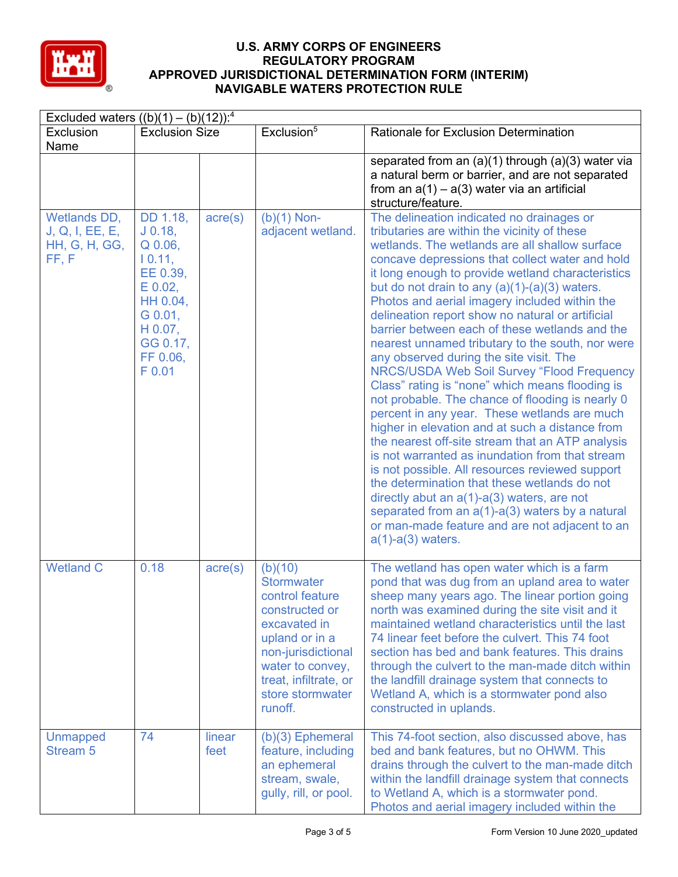

| Excluded waters $((b)(1) - (b)(12))$ : <sup>4</sup>             |                                                                                                                                            |                  |                                                                                                                                                                                                       |                                                                                                                                                                                                                                                                                                                                                                                                                                                                                                                                                                                                                                                                                                                                                                                                                                                                                                                                                                                                                                                                                                                                                                                                                      |  |
|-----------------------------------------------------------------|--------------------------------------------------------------------------------------------------------------------------------------------|------------------|-------------------------------------------------------------------------------------------------------------------------------------------------------------------------------------------------------|----------------------------------------------------------------------------------------------------------------------------------------------------------------------------------------------------------------------------------------------------------------------------------------------------------------------------------------------------------------------------------------------------------------------------------------------------------------------------------------------------------------------------------------------------------------------------------------------------------------------------------------------------------------------------------------------------------------------------------------------------------------------------------------------------------------------------------------------------------------------------------------------------------------------------------------------------------------------------------------------------------------------------------------------------------------------------------------------------------------------------------------------------------------------------------------------------------------------|--|
| Exclusion<br>Name                                               | <b>Exclusion Size</b>                                                                                                                      |                  | Exclusion <sup>5</sup>                                                                                                                                                                                | <b>Rationale for Exclusion Determination</b>                                                                                                                                                                                                                                                                                                                                                                                                                                                                                                                                                                                                                                                                                                                                                                                                                                                                                                                                                                                                                                                                                                                                                                         |  |
|                                                                 |                                                                                                                                            |                  |                                                                                                                                                                                                       | separated from an $(a)(1)$ through $(a)(3)$ water via<br>a natural berm or barrier, and are not separated<br>from an $a(1) - a(3)$ water via an artificial<br>structure/feature.                                                                                                                                                                                                                                                                                                                                                                                                                                                                                                                                                                                                                                                                                                                                                                                                                                                                                                                                                                                                                                     |  |
| Wetlands DD,<br>J, Q, I, EE, E,<br><b>HH, G, H, GG,</b><br>FF.F | DD 1.18,<br>$J$ 0.18,<br>$Q$ 0.06,<br>10.11<br>EE 0.39,<br>$E$ 0.02,<br>HH 0.04,<br>G 0.01,<br>$H$ 0.07,<br>GG 0.17,<br>FF 0.06,<br>F 0.01 | $\text{acre}(s)$ | $(b)(1)$ Non-<br>adjacent wetland.                                                                                                                                                                    | The delineation indicated no drainages or<br>tributaries are within the vicinity of these<br>wetlands. The wetlands are all shallow surface<br>concave depressions that collect water and hold<br>it long enough to provide wetland characteristics<br>but do not drain to any $(a)(1)-(a)(3)$ waters.<br>Photos and aerial imagery included within the<br>delineation report show no natural or artificial<br>barrier between each of these wetlands and the<br>nearest unnamed tributary to the south, nor were<br>any observed during the site visit. The<br>NRCS/USDA Web Soil Survey "Flood Frequency<br>Class" rating is "none" which means flooding is<br>not probable. The chance of flooding is nearly 0<br>percent in any year. These wetlands are much<br>higher in elevation and at such a distance from<br>the nearest off-site stream that an ATP analysis<br>is not warranted as inundation from that stream<br>is not possible. All resources reviewed support<br>the determination that these wetlands do not<br>directly abut an $a(1)$ - $a(3)$ waters, are not<br>separated from an $a(1)$ - $a(3)$ waters by a natural<br>or man-made feature and are not adjacent to an<br>$a(1)-a(3)$ waters. |  |
| <b>Wetland C</b>                                                | 0.18                                                                                                                                       | $\text{acre}(s)$ | (b)(10)<br><b>Stormwater</b><br>control feature<br>constructed or<br>excavated in<br>upland or in a<br>non-jurisdictional<br>water to convey,<br>treat, infiltrate, or<br>store stormwater<br>runoff. | The wetland has open water which is a farm<br>pond that was dug from an upland area to water<br>sheep many years ago. The linear portion going<br>north was examined during the site visit and it<br>maintained wetland characteristics until the last<br>74 linear feet before the culvert. This 74 foot<br>section has bed and bank features. This drains<br>through the culvert to the man-made ditch within<br>the landfill drainage system that connects to<br>Wetland A, which is a stormwater pond also<br>constructed in uplands.                                                                                                                                                                                                                                                                                                                                                                                                                                                                                                                                                                                                                                                                            |  |
| <b>Unmapped</b><br><b>Stream 5</b>                              | 74                                                                                                                                         | linear<br>feet   | $(b)(3)$ Ephemeral<br>feature, including<br>an ephemeral<br>stream, swale,<br>gully, rill, or pool.                                                                                                   | This 74-foot section, also discussed above, has<br>bed and bank features, but no OHWM. This<br>drains through the culvert to the man-made ditch<br>within the landfill drainage system that connects<br>to Wetland A, which is a stormwater pond.<br>Photos and aerial imagery included within the                                                                                                                                                                                                                                                                                                                                                                                                                                                                                                                                                                                                                                                                                                                                                                                                                                                                                                                   |  |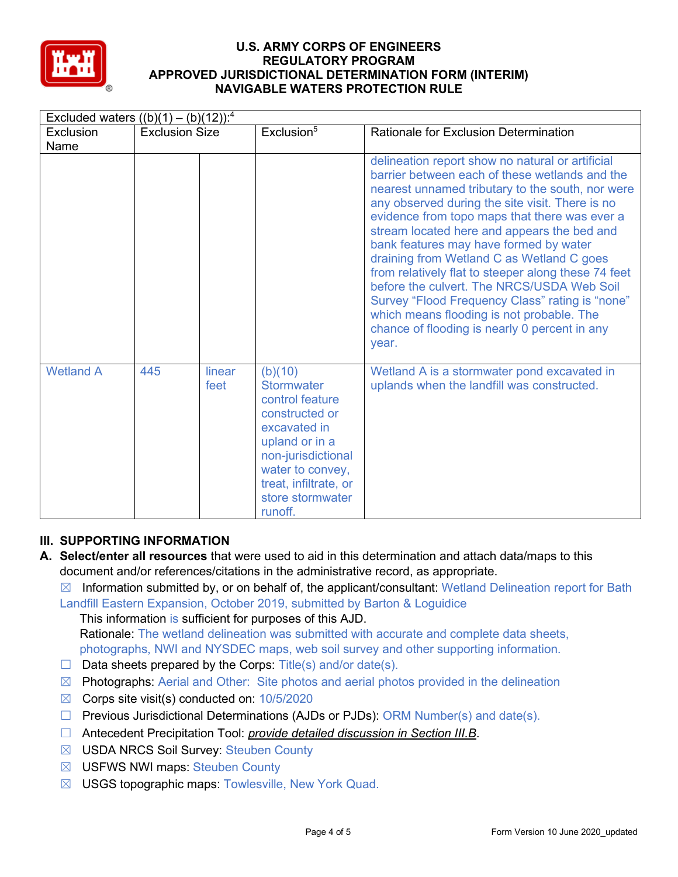

| Excluded waters $((b)(1) - (b)(12))$ : <sup>4</sup> |                       |                |                                                                                                                                                                                                       |                                                                                                                                                                                                                                                                                                                                                                                                                                                                                                                                                                                                                                                                 |  |  |
|-----------------------------------------------------|-----------------------|----------------|-------------------------------------------------------------------------------------------------------------------------------------------------------------------------------------------------------|-----------------------------------------------------------------------------------------------------------------------------------------------------------------------------------------------------------------------------------------------------------------------------------------------------------------------------------------------------------------------------------------------------------------------------------------------------------------------------------------------------------------------------------------------------------------------------------------------------------------------------------------------------------------|--|--|
| Exclusion                                           | <b>Exclusion Size</b> |                | Exclusion <sup>5</sup>                                                                                                                                                                                | <b>Rationale for Exclusion Determination</b>                                                                                                                                                                                                                                                                                                                                                                                                                                                                                                                                                                                                                    |  |  |
| Name                                                |                       |                |                                                                                                                                                                                                       |                                                                                                                                                                                                                                                                                                                                                                                                                                                                                                                                                                                                                                                                 |  |  |
|                                                     |                       |                |                                                                                                                                                                                                       | delineation report show no natural or artificial<br>barrier between each of these wetlands and the<br>nearest unnamed tributary to the south, nor were<br>any observed during the site visit. There is no<br>evidence from topo maps that there was ever a<br>stream located here and appears the bed and<br>bank features may have formed by water<br>draining from Wetland C as Wetland C goes<br>from relatively flat to steeper along these 74 feet<br>before the culvert. The NRCS/USDA Web Soil<br>Survey "Flood Frequency Class" rating is "none"<br>which means flooding is not probable. The<br>chance of flooding is nearly 0 percent in any<br>year. |  |  |
| <b>Wetland A</b>                                    | 445                   | linear<br>feet | (b)(10)<br><b>Stormwater</b><br>control feature<br>constructed or<br>excavated in<br>upland or in a<br>non-jurisdictional<br>water to convey,<br>treat, infiltrate, or<br>store stormwater<br>runoff. | Wetland A is a stormwater pond excavated in<br>uplands when the landfill was constructed.                                                                                                                                                                                                                                                                                                                                                                                                                                                                                                                                                                       |  |  |

# **III. SUPPORTING INFORMATION**

- **A. Select/enter all resources** that were used to aid in this determination and attach data/maps to this document and/or references/citations in the administrative record, as appropriate.
	- $\boxtimes$  Information submitted by, or on behalf of, the applicant/consultant: Wetland Delineation report for Bath

Landfill Eastern Expansion, October 2019, submitted by Barton & Loguidice

This information is sufficient for purposes of this AJD. Rationale: The wetland delineation was submitted with accurate and complete data sheets, photographs, NWI and NYSDEC maps, web soil survey and other supporting information.

- $\Box$  Data sheets prepared by the Corps: Title(s) and/or date(s).
- $\boxtimes$  Photographs: Aerial and Other: Site photos and aerial photos provided in the delineation
- $\boxtimes$  Corps site visit(s) conducted on: 10/5/2020
- ☐ Previous Jurisdictional Determinations (AJDs or PJDs): ORM Number(s) and date(s).
- ☐ Antecedent Precipitation Tool: *provide detailed discussion in Section III.B*.
- ☒ USDA NRCS Soil Survey: Steuben County
- ☒ USFWS NWI maps: Steuben County
- ☒ USGS topographic maps: Towlesville, New York Quad.